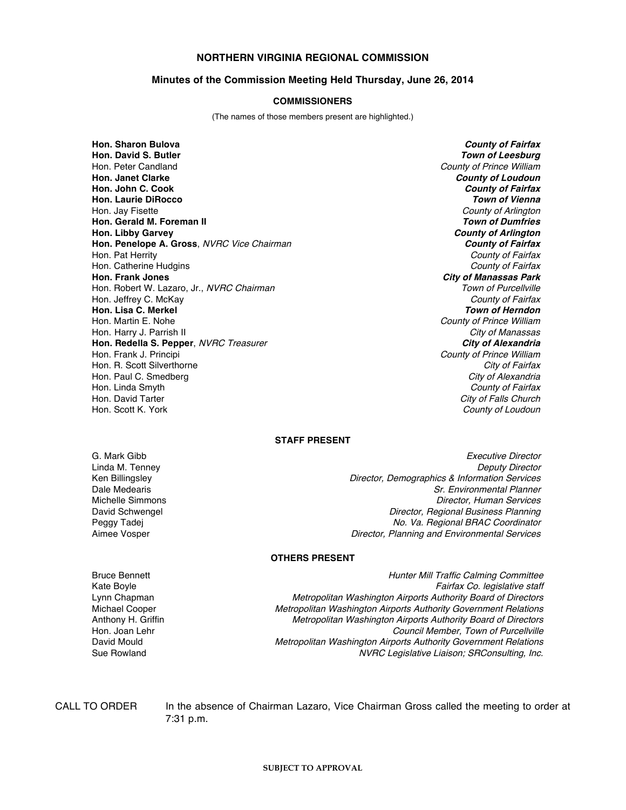## **NORTHERN VIRGINIA REGIONAL COMMISSION**

#### **Minutes of the Commission Meeting Held Thursday, June 26, 2014**

#### **COMMISSIONERS**

(The names of those members present are highlighted.)

**Hon. Sharon Bulova County of Fairfax** Hon. Peter Candland **County of Prince William Hon. Janet Clarke County of Loudoun Hon. John C. Cook County of Fairfax Hon. Laurie DiRocco Town of Vienna** Hon. Jay Fisette **County of Arlington** County of Arlington County of Arlington **Hon. Gerald M. Foreman II Town of Dumfries Hon. Libby Garvey County of Arlington Hon. Penelope A. Gross**, NVRC Vice Chairman **County of Fairfax** Hon. Pat Herrity *County of Fairfax*<br>Hon. Catherine Hudgins and County of Fairfax and County of Fairfax Hon. Catherine Hudgins **Hon. Frank Jones City of Manassas Park** Hon. Robert W. Lazaro, Jr., NVRC Chairman Hon. Jeffrey C. McKay County of Fairfax **Hon. Lisa C. Merkel Town of Herndon** Hon. Martin E. Nohe County of Prince William County of Prince William Hon. Harry J. Parrish II City of Manassas **Hon. Redella S. Pepper**, NVRC Treasurer Hon. Frank J. Principi **National Structure of Prince William** County of Prince William Hon. R. Scott Silverthorne City of Fairfax City of Fairfax<br>
Hon. Paul C. Smedberg City of Alexandria Hon. Paul C. Smedberg<br>Hon. Linda Smyth Hon. David Tarter City of Falls Church City of Falls Church Hon. Scott K. York County of Loudoun Number of Loudoun Number of Loudoun Number of Loudoun Number of Loudoun

**Town of Leesburg** County of Fairfax

#### **STAFF PRESENT**

Ken Billingsley Dale Medearis Michelle Simmons<br>David Schwengel

G. Mark Gibb **Executive Director** Control of the Security of the Executive Director Linda M. Tenney **Director** Control of the Control of the Control of the Control of the Control of the Control of the Control of the Control of the Control of the Control of the Control of the Control of the Control of the Director, Demographics & Information Services Sr. Environmental Planner Director, Human Services Director, Regional Business Planning Peggy Tadej **No. Va. Regional BRAC Coordinator** Aimee Vosper **Director**, Planning and Environmental Services

### **OTHERS PRESENT**

Bruce Bennett **Hunter Mill Traffic Calming Committee** Kate Boyle Fairfax Co. legislative staff<br>Lynn Chapman **Exercise Staff** Lynn Chapman Lynn Chapman Chapman Metropolitan Washington Airports Authority Board of Directors Lynn Chapman **Metropolitan Washington Airports Authority Board of Directors**<br>Metropolitan Washington Airports Authority Government Relations Michael Cooper **Metropolitan Washington Airports Authority Government Relations**<br>Metropolitan Washington Airports Authority Board of Directors Anthony H. Griffin **Metropolitan Washington Airports Authority Board of Directors**<br>Hon. Joan Lehr **Metropolitan Washington Airports Authority Board of Purcellville** Council Member, Town of Purcellville David Mould **Metropolitan Washington Airports Authority Government Relations** Sue Rowland **NURC Legislative Liaison; SRConsulting, Inc.** NURC Legislative Liaison; SRConsulting, Inc.

CALL TO ORDER In the absence of Chairman Lazaro, Vice Chairman Gross called the meeting to order at 7:31 p.m.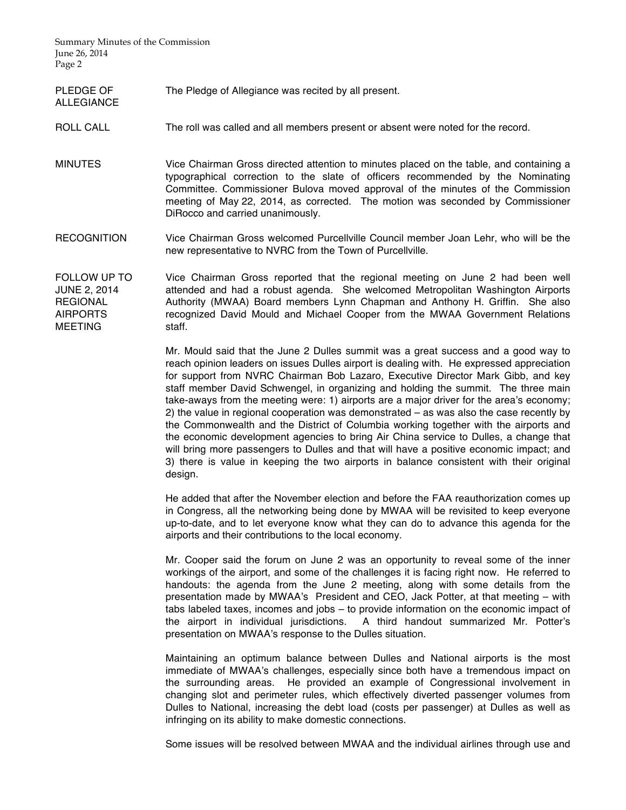Summary Minutes of the Commission June 26, 2014 Page 2

ALLEGIANCE

PLEDGE OF The Pledge of Allegiance was recited by all present.

# ROLL CALL The roll was called and all members present or absent were noted for the record.

- MINUTES Vice Chairman Gross directed attention to minutes placed on the table, and containing a typographical correction to the slate of officers recommended by the Nominating Committee. Commissioner Bulova moved approval of the minutes of the Commission meeting of May 22, 2014, as corrected. The motion was seconded by Commissioner DiRocco and carried unanimously.
- RECOGNITION Vice Chairman Gross welcomed Purcellville Council member Joan Lehr, who will be the new representative to NVRC from the Town of Purcellville.
- FOLLOW UP TO JUNE 2, 2014 **REGIONAL** AIRPORTS MEETING Vice Chairman Gross reported that the regional meeting on June 2 had been well attended and had a robust agenda. She welcomed Metropolitan Washington Airports Authority (MWAA) Board members Lynn Chapman and Anthony H. Griffin. She also recognized David Mould and Michael Cooper from the MWAA Government Relations staff.

Mr. Mould said that the June 2 Dulles summit was a great success and a good way to reach opinion leaders on issues Dulles airport is dealing with. He expressed appreciation for support from NVRC Chairman Bob Lazaro, Executive Director Mark Gibb, and key staff member David Schwengel, in organizing and holding the summit. The three main take-aways from the meeting were: 1) airports are a major driver for the area's economy; 2) the value in regional cooperation was demonstrated – as was also the case recently by the Commonwealth and the District of Columbia working together with the airports and the economic development agencies to bring Air China service to Dulles, a change that will bring more passengers to Dulles and that will have a positive economic impact; and 3) there is value in keeping the two airports in balance consistent with their original design.

He added that after the November election and before the FAA reauthorization comes up in Congress, all the networking being done by MWAA will be revisited to keep everyone up-to-date, and to let everyone know what they can do to advance this agenda for the airports and their contributions to the local economy.

Mr. Cooper said the forum on June 2 was an opportunity to reveal some of the inner workings of the airport, and some of the challenges it is facing right now. He referred to handouts: the agenda from the June 2 meeting, along with some details from the presentation made by MWAA's President and CEO, Jack Potter, at that meeting – with tabs labeled taxes, incomes and jobs – to provide information on the economic impact of the airport in individual jurisdictions. A third handout summarized Mr. Potter's presentation on MWAA's response to the Dulles situation.

Maintaining an optimum balance between Dulles and National airports is the most immediate of MWAA's challenges, especially since both have a tremendous impact on the surrounding areas. He provided an example of Congressional involvement in changing slot and perimeter rules, which effectively diverted passenger volumes from Dulles to National, increasing the debt load (costs per passenger) at Dulles as well as infringing on its ability to make domestic connections.

Some issues will be resolved between MWAA and the individual airlines through use and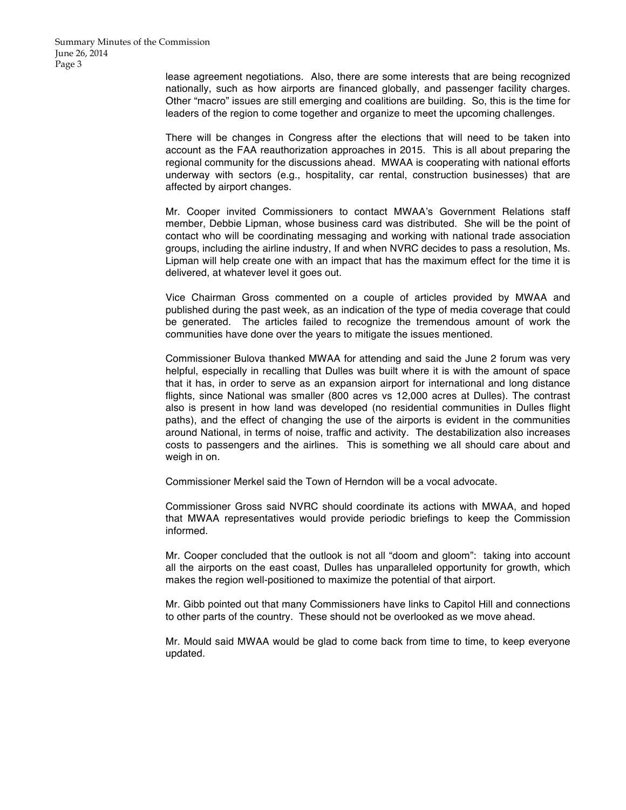lease agreement negotiations. Also, there are some interests that are being recognized nationally, such as how airports are financed globally, and passenger facility charges. Other "macro" issues are still emerging and coalitions are building. So, this is the time for leaders of the region to come together and organize to meet the upcoming challenges.

There will be changes in Congress after the elections that will need to be taken into account as the FAA reauthorization approaches in 2015. This is all about preparing the regional community for the discussions ahead. MWAA is cooperating with national efforts underway with sectors (e.g., hospitality, car rental, construction businesses) that are affected by airport changes.

Mr. Cooper invited Commissioners to contact MWAA's Government Relations staff member, Debbie Lipman, whose business card was distributed. She will be the point of contact who will be coordinating messaging and working with national trade association groups, including the airline industry, If and when NVRC decides to pass a resolution, Ms. Lipman will help create one with an impact that has the maximum effect for the time it is delivered, at whatever level it goes out.

Vice Chairman Gross commented on a couple of articles provided by MWAA and published during the past week, as an indication of the type of media coverage that could be generated. The articles failed to recognize the tremendous amount of work the communities have done over the years to mitigate the issues mentioned.

Commissioner Bulova thanked MWAA for attending and said the June 2 forum was very helpful, especially in recalling that Dulles was built where it is with the amount of space that it has, in order to serve as an expansion airport for international and long distance flights, since National was smaller (800 acres vs 12,000 acres at Dulles). The contrast also is present in how land was developed (no residential communities in Dulles flight paths), and the effect of changing the use of the airports is evident in the communities around National, in terms of noise, traffic and activity. The destabilization also increases costs to passengers and the airlines. This is something we all should care about and weigh in on.

Commissioner Merkel said the Town of Herndon will be a vocal advocate.

Commissioner Gross said NVRC should coordinate its actions with MWAA, and hoped that MWAA representatives would provide periodic briefings to keep the Commission informed.

Mr. Cooper concluded that the outlook is not all "doom and gloom": taking into account all the airports on the east coast, Dulles has unparalleled opportunity for growth, which makes the region well-positioned to maximize the potential of that airport.

Mr. Gibb pointed out that many Commissioners have links to Capitol Hill and connections to other parts of the country. These should not be overlooked as we move ahead.

Mr. Mould said MWAA would be glad to come back from time to time, to keep everyone updated.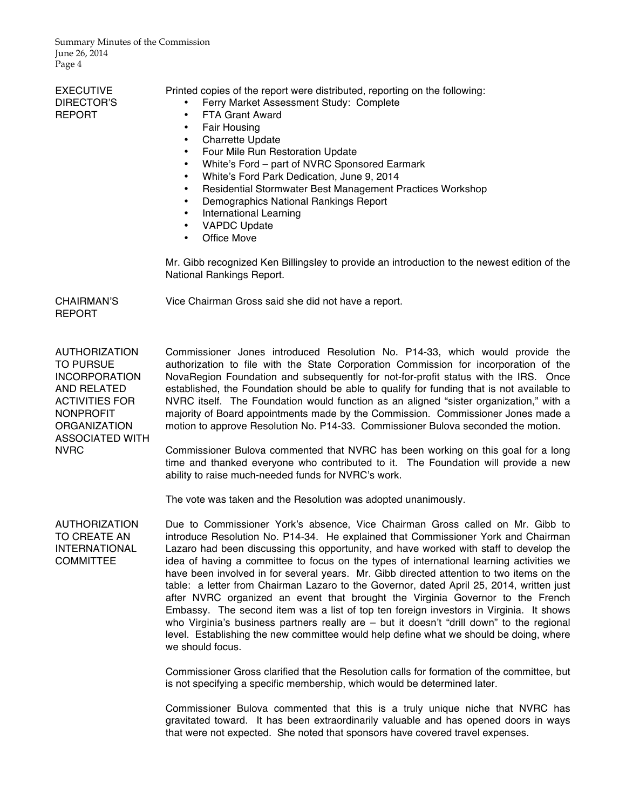Summary Minutes of the Commission June 26, 2014 Page 4

| <b>EXECUTIVE</b><br>DIRECTOR'S<br><b>REPORT</b>                                                                                                                                              | Printed copies of the report were distributed, reporting on the following:<br>Ferry Market Assessment Study: Complete<br>FTA Grant Award<br>$\bullet$<br><b>Fair Housing</b><br>$\bullet$<br><b>Charrette Update</b><br>$\bullet$<br>Four Mile Run Restoration Update<br>$\bullet$<br>White's Ford - part of NVRC Sponsored Earmark<br>$\bullet$<br>White's Ford Park Dedication, June 9, 2014<br>$\bullet$<br>Residential Stormwater Best Management Practices Workshop<br>$\bullet$<br>Demographics National Rankings Report<br>$\bullet$<br><b>International Learning</b><br>$\bullet$<br><b>VAPDC Update</b><br>$\bullet$<br>Office Move<br>$\bullet$<br>Mr. Gibb recognized Ken Billingsley to provide an introduction to the newest edition of the<br>National Rankings Report.                                                                                                                                           |
|----------------------------------------------------------------------------------------------------------------------------------------------------------------------------------------------|---------------------------------------------------------------------------------------------------------------------------------------------------------------------------------------------------------------------------------------------------------------------------------------------------------------------------------------------------------------------------------------------------------------------------------------------------------------------------------------------------------------------------------------------------------------------------------------------------------------------------------------------------------------------------------------------------------------------------------------------------------------------------------------------------------------------------------------------------------------------------------------------------------------------------------|
| <b>CHAIRMAN'S</b><br><b>REPORT</b>                                                                                                                                                           | Vice Chairman Gross said she did not have a report.                                                                                                                                                                                                                                                                                                                                                                                                                                                                                                                                                                                                                                                                                                                                                                                                                                                                             |
| <b>AUTHORIZATION</b><br><b>TO PURSUE</b><br><b>INCORPORATION</b><br>AND RELATED<br><b>ACTIVITIES FOR</b><br><b>NONPROFIT</b><br><b>ORGANIZATION</b><br><b>ASSOCIATED WITH</b><br><b>NVRC</b> | Commissioner Jones introduced Resolution No. P14-33, which would provide the<br>authorization to file with the State Corporation Commission for incorporation of the<br>NovaRegion Foundation and subsequently for not-for-profit status with the IRS. Once<br>established, the Foundation should be able to qualify for funding that is not available to<br>NVRC itself. The Foundation would function as an aligned "sister organization," with a<br>majority of Board appointments made by the Commission. Commissioner Jones made a<br>motion to approve Resolution No. P14-33. Commissioner Bulova seconded the motion.<br>Commissioner Bulova commented that NVRC has been working on this goal for a long<br>time and thanked everyone who contributed to it. The Foundation will provide a new<br>ability to raise much-needed funds for NVRC's work.<br>The vote was taken and the Resolution was adopted unanimously. |
| <b>AUTHORIZATION</b><br>TO CREATE AN<br><b>INTERNATIONAL</b><br><b>COMMITTEE</b>                                                                                                             | Due to Commissioner York's absence, Vice Chairman Gross called on Mr. Gibb to<br>introduce Resolution No. P14-34. He explained that Commissioner York and Chairman<br>Lazaro had been discussing this opportunity, and have worked with staff to develop the<br>idea of having a committee to focus on the types of international learning activities we                                                                                                                                                                                                                                                                                                                                                                                                                                                                                                                                                                        |

Commissioner York and Chairman e worked with staff to develop the international learning activities we have been involved in for several years. Mr. Gibb directed attention to two items on the table: a letter from Chairman Lazaro to the Governor, dated April 25, 2014, written just after NVRC organized an event that brought the Virginia Governor to the French Embassy. The second item was a list of top ten foreign investors in Virginia. It shows who Virginia's business partners really are – but it doesn't "drill down" to the regional level. Establishing the new committee would help define what we should be doing, where we should focus.

Commissioner Gross clarified that the Resolution calls for formation of the committee, but is not specifying a specific membership, which would be determined later.

Commissioner Bulova commented that this is a truly unique niche that NVRC has gravitated toward. It has been extraordinarily valuable and has opened doors in ways that were not expected. She noted that sponsors have covered travel expenses.